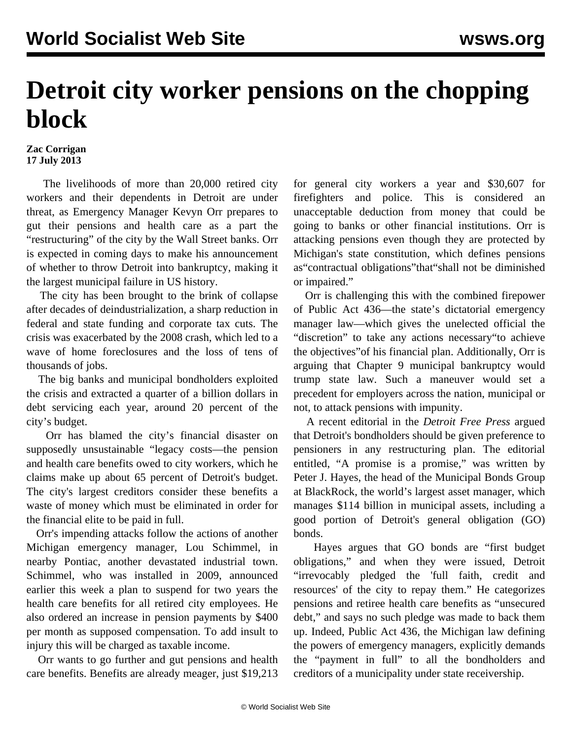## **Detroit city worker pensions on the chopping block**

## **Zac Corrigan 17 July 2013**

 The livelihoods of more than 20,000 retired city workers and their dependents in Detroit are under threat, as Emergency Manager Kevyn Orr prepares to gut their pensions and health care as a part the "restructuring" of the city by the Wall Street banks. Orr is expected in coming days to make his announcement of whether to throw Detroit into bankruptcy, making it the largest municipal failure in US history.

 The city has been brought to the brink of collapse after decades of deindustrialization, a sharp reduction in federal and state funding and corporate tax cuts. The crisis was exacerbated by the 2008 crash, which led to a wave of home foreclosures and the loss of tens of thousands of jobs.

 The big banks and municipal bondholders exploited the crisis and extracted a quarter of a billion dollars in debt servicing each year, around 20 percent of the city's budget.

 Orr has blamed the city's financial disaster on supposedly unsustainable "legacy costs—the pension and health care benefits owed to city workers, which he claims make up about 65 percent of Detroit's budget. The city's largest creditors consider these benefits a waste of money which must be eliminated in order for the financial elite to be paid in full.

 Orr's impending attacks follow the actions of another Michigan emergency manager, Lou Schimmel, in nearby Pontiac, another devastated industrial town. Schimmel, who was installed in 2009, announced earlier this week a plan to suspend for two years the health care benefits for all retired city employees. He also ordered an increase in pension payments by \$400 per month as supposed compensation. To add insult to injury this will be charged as taxable income.

 Orr wants to go further and gut pensions and health care benefits. Benefits are already meager, just \$19,213 for general city workers a year and \$30,607 for firefighters and police. This is considered an unacceptable deduction from money that could be going to banks or other financial institutions. Orr is attacking pensions even though they are protected by Michigan's state constitution, which defines pensions as"contractual obligations"that"shall not be diminished or impaired."

 Orr is challenging this with the combined firepower of Public Act 436—the state's dictatorial emergency manager law—which gives the unelected official the "discretion" to take any actions necessary"to achieve the objectives"of his financial plan. Additionally, Orr is arguing that Chapter 9 municipal bankruptcy would trump state law. Such a maneuver would set a precedent for employers across the nation, municipal or not, to attack pensions with impunity.

 A recent editorial in the *Detroit Free Press* argued that Detroit's bondholders should be given preference to pensioners in any restructuring plan. The editorial entitled, "A promise is a promise," was written by Peter J. Hayes, the head of the Municipal Bonds Group at BlackRock, the world's largest asset manager, which manages \$114 billion in municipal assets, including a good portion of Detroit's general obligation (GO) bonds.

 Hayes argues that GO bonds are "first budget obligations," and when they were issued, Detroit "irrevocably pledged the 'full faith, credit and resources' of the city to repay them." He categorizes pensions and retiree health care benefits as "unsecured debt," and says no such pledge was made to back them up. Indeed, Public Act 436, the Michigan law defining the powers of emergency managers, explicitly demands the "payment in full" to all the bondholders and creditors of a municipality under state receivership.